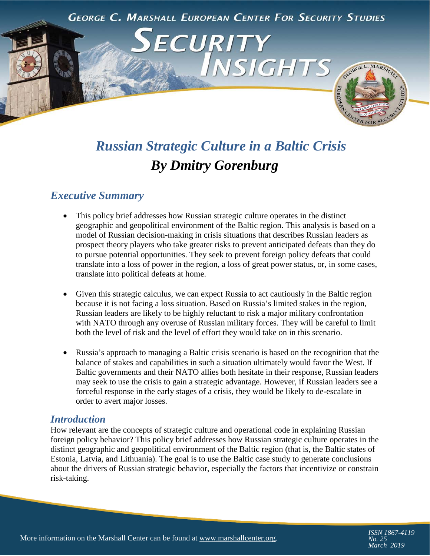

# *Russian Strategic Culture in a Baltic Crisis By Dmitry Gorenburg*

# *Executive Summary*

- This policy brief addresses how Russian strategic culture operates in the distinct geographic and geopolitical environment of the Baltic region. This analysis is based on a model of Russian decision-making in crisis situations that describes Russian leaders as prospect theory players who take greater risks to prevent anticipated defeats than they do to pursue potential opportunities. They seek to prevent foreign policy defeats that could translate into a loss of power in the region, a loss of great power status, or, in some cases, translate into political defeats at home.
- Given this strategic calculus, we can expect Russia to act cautiously in the Baltic region because it is not facing a loss situation. Based on Russia's limited stakes in the region, Russian leaders are likely to be highly reluctant to risk a major military confrontation with NATO through any overuse of Russian military forces. They will be careful to limit both the level of risk and the level of effort they would take on in this scenario.
- Russia's approach to managing a Baltic crisis scenario is based on the recognition that the balance of stakes and capabilities in such a situation ultimately would favor the West. If Baltic governments and their NATO allies both hesitate in their response, Russian leaders may seek to use the crisis to gain a strategic advantage. However, if Russian leaders see a forceful response in the early stages of a crisis, they would be likely to de-escalate in order to avert major losses.

#### *Introduction*

How relevant are the concepts of strategic culture and operational code in explaining Russian foreign policy behavior? This policy brief addresses how Russian strategic culture operates in the distinct geographic and geopolitical environment of the Baltic region (that is, the Baltic states of Estonia, Latvia, and Lithuania). The goal is to use the Baltic case study to generate conclusions about the drivers of Russian strategic behavior, especially the factors that incentivize or constrain risk-taking.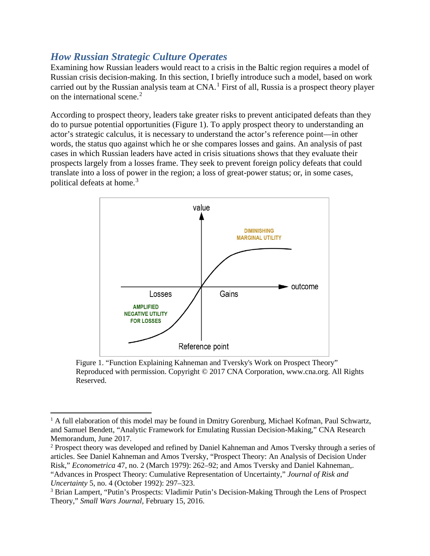# *How Russian Strategic Culture Operates*

 $\overline{\phantom{a}}$ 

Examining how Russian leaders would react to a crisis in the Baltic region requires a model of Russian crisis decision-making. In this section, I briefly introduce such a model, based on work carried out by the Russian analysis team at CNA.<sup>[1](#page-1-0)</sup> First of all, Russia is a prospect theory player on the international scene.<sup>[2](#page-1-1)</sup>

According to prospect theory, leaders take greater risks to prevent anticipated defeats than they do to pursue potential opportunities (Figure 1). To apply prospect theory to understanding an actor's strategic calculus, it is necessary to understand the actor's reference point—in other words, the status quo against which he or she compares losses and gains. An analysis of past cases in which Russian leaders have acted in crisis situations shows that they evaluate their prospects largely from a losses frame. They seek to prevent foreign policy defeats that could translate into a loss of power in the region; a loss of great-power status; or, in some cases, political defeats at home.<sup>[3](#page-1-2)</sup>



Figure 1. "Function Explaining Kahneman and Tversky's Work on Prospect Theory" Reproduced with permission. Copyright © 2017 CNA Corporation, www.cna.org. All Rights Reserved.

<span id="page-1-0"></span><sup>&</sup>lt;sup>1</sup> A full elaboration of this model may be found in Dmitry Gorenburg, Michael Kofman, Paul Schwartz, and Samuel Bendett, "Analytic Framework for Emulating Russian Decision-Making," CNA Research Memorandum, June 2017.

<span id="page-1-1"></span><sup>&</sup>lt;sup>2</sup> Prospect theory was developed and refined by Daniel Kahneman and Amos Tversky through a series of articles. See Daniel Kahneman and Amos Tversky, "Prospect Theory: An Analysis of Decision Under Risk," *Econometrica* 47, no. 2 (March 1979): 262–92; and Amos Tversky and Daniel Kahneman,. "Advances in Prospect Theory: Cumulative Representation of Uncertainty," *Journal of Risk and Uncertainty* 5, no. 4 (October 1992): 297–323.

<span id="page-1-2"></span><sup>3</sup> Brian Lampert, "Putin's Prospects: Vladimir Putin's Decision-Making Through the Lens of Prospect Theory," *Small Wars Journal,* February 15, 2016.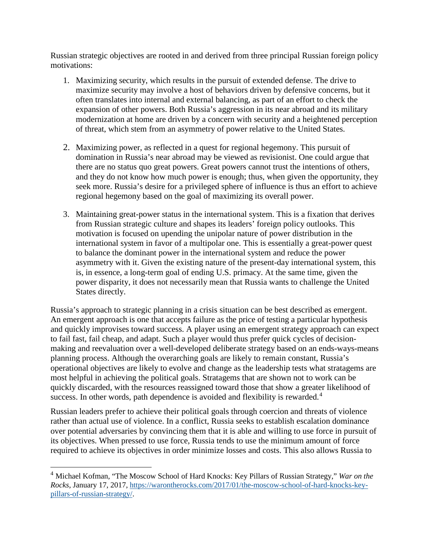Russian strategic objectives are rooted in and derived from three principal Russian foreign policy motivations:

- 1. Maximizing security, which results in the pursuit of extended defense. The drive to maximize security may involve a host of behaviors driven by defensive concerns, but it often translates into internal and external balancing, as part of an effort to check the expansion of other powers. Both Russia's aggression in its near abroad and its military modernization at home are driven by a concern with security and a heightened perception of threat, which stem from an asymmetry of power relative to the United States.
- 2. Maximizing power, as reflected in a quest for regional hegemony. This pursuit of domination in Russia's near abroad may be viewed as revisionist. One could argue that there are no status quo great powers. Great powers cannot trust the intentions of others, and they do not know how much power is enough; thus, when given the opportunity, they seek more. Russia's desire for a privileged sphere of influence is thus an effort to achieve regional hegemony based on the goal of maximizing its overall power.
- 3. Maintaining great-power status in the international system. This is a fixation that derives from Russian strategic culture and shapes its leaders' foreign policy outlooks. This motivation is focused on upending the unipolar nature of power distribution in the international system in favor of a multipolar one. This is essentially a great-power quest to balance the dominant power in the international system and reduce the power asymmetry with it. Given the existing nature of the present-day international system, this is, in essence, a long-term goal of ending U.S. primacy. At the same time, given the power disparity, it does not necessarily mean that Russia wants to challenge the United States directly.

Russia's approach to strategic planning in a crisis situation can be best described as emergent. An emergent approach is one that accepts failure as the price of testing a particular hypothesis and quickly improvises toward success. A player using an emergent strategy approach can expect to fail fast, fail cheap, and adapt. Such a player would thus prefer quick cycles of decisionmaking and reevaluation over a well-developed deliberate strategy based on an ends-ways-means planning process. Although the overarching goals are likely to remain constant, Russia's operational objectives are likely to evolve and change as the leadership tests what stratagems are most helpful in achieving the political goals. Stratagems that are shown not to work can be quickly discarded, with the resources reassigned toward those that show a greater likelihood of success. In other words, path dependence is avoided and flexibility is rewarded.<sup>[4](#page-2-0)</sup>

Russian leaders prefer to achieve their political goals through coercion and threats of violence rather than actual use of violence. In a conflict, Russia seeks to establish escalation dominance over potential adversaries by convincing them that it is able and willing to use force in pursuit of its objectives. When pressed to use force, Russia tends to use the minimum amount of force required to achieve its objectives in order minimize losses and costs. This also allows Russia to

 $\overline{a}$ 

<span id="page-2-0"></span><sup>4</sup> Michael Kofman, "The Moscow School of Hard Knocks: Key Pillars of Russian Strategy," *War on the Rocks*, January 17, 2017[, https://warontherocks.com/2017/01/the-moscow-school-of-hard-knocks-key](https://warontherocks.com/2017/01/the-moscow-school-of-hard-knocks-key-pillars-of-russian-strategy/)[pillars-of-russian-strategy/.](https://warontherocks.com/2017/01/the-moscow-school-of-hard-knocks-key-pillars-of-russian-strategy/)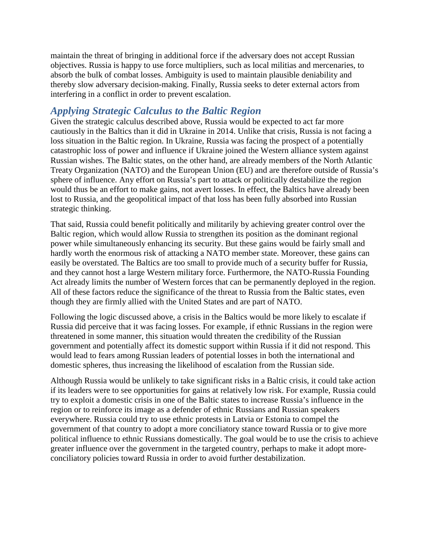maintain the threat of bringing in additional force if the adversary does not accept Russian objectives. Russia is happy to use force multipliers, such as local militias and mercenaries, to absorb the bulk of combat losses. Ambiguity is used to maintain plausible deniability and thereby slow adversary decision-making. Finally, Russia seeks to deter external actors from interfering in a conflict in order to prevent escalation.

## *Applying Strategic Calculus to the Baltic Region*

Given the strategic calculus described above, Russia would be expected to act far more cautiously in the Baltics than it did in Ukraine in 2014. Unlike that crisis, Russia is not facing a loss situation in the Baltic region. In Ukraine, Russia was facing the prospect of a potentially catastrophic loss of power and influence if Ukraine joined the Western alliance system against Russian wishes. The Baltic states, on the other hand, are already members of the North Atlantic Treaty Organization (NATO) and the European Union (EU) and are therefore outside of Russia's sphere of influence. Any effort on Russia's part to attack or politically destabilize the region would thus be an effort to make gains, not avert losses. In effect, the Baltics have already been lost to Russia, and the geopolitical impact of that loss has been fully absorbed into Russian strategic thinking.

That said, Russia could benefit politically and militarily by achieving greater control over the Baltic region, which would allow Russia to strengthen its position as the dominant regional power while simultaneously enhancing its security. But these gains would be fairly small and hardly worth the enormous risk of attacking a NATO member state. Moreover, these gains can easily be overstated. The Baltics are too small to provide much of a security buffer for Russia, and they cannot host a large Western military force. Furthermore, the NATO-Russia Founding Act already limits the number of Western forces that can be permanently deployed in the region. All of these factors reduce the significance of the threat to Russia from the Baltic states, even though they are firmly allied with the United States and are part of NATO.

Following the logic discussed above, a crisis in the Baltics would be more likely to escalate if Russia did perceive that it was facing losses. For example, if ethnic Russians in the region were threatened in some manner, this situation would threaten the credibility of the Russian government and potentially affect its domestic support within Russia if it did not respond. This would lead to fears among Russian leaders of potential losses in both the international and domestic spheres, thus increasing the likelihood of escalation from the Russian side.

Although Russia would be unlikely to take significant risks in a Baltic crisis, it could take action if its leaders were to see opportunities for gains at relatively low risk. For example, Russia could try to exploit a domestic crisis in one of the Baltic states to increase Russia's influence in the region or to reinforce its image as a defender of ethnic Russians and Russian speakers everywhere. Russia could try to use ethnic protests in Latvia or Estonia to compel the government of that country to adopt a more conciliatory stance toward Russia or to give more political influence to ethnic Russians domestically. The goal would be to use the crisis to achieve greater influence over the government in the targeted country, perhaps to make it adopt moreconciliatory policies toward Russia in order to avoid further destabilization.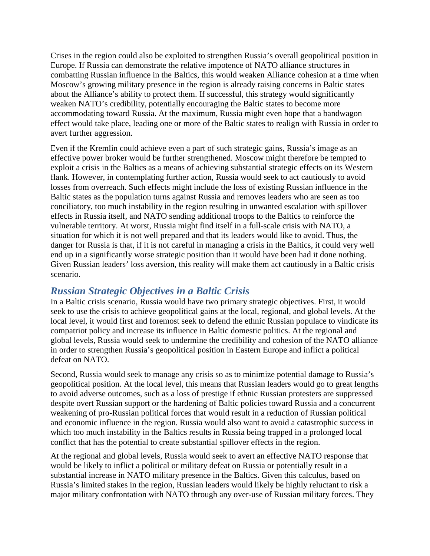Crises in the region could also be exploited to strengthen Russia's overall geopolitical position in Europe. If Russia can demonstrate the relative impotence of NATO alliance structures in combatting Russian influence in the Baltics, this would weaken Alliance cohesion at a time when Moscow's growing military presence in the region is already raising concerns in Baltic states about the Alliance's ability to protect them. If successful, this strategy would significantly weaken NATO's credibility, potentially encouraging the Baltic states to become more accommodating toward Russia. At the maximum, Russia might even hope that a bandwagon effect would take place, leading one or more of the Baltic states to realign with Russia in order to avert further aggression.

Even if the Kremlin could achieve even a part of such strategic gains, Russia's image as an effective power broker would be further strengthened. Moscow might therefore be tempted to exploit a crisis in the Baltics as a means of achieving substantial strategic effects on its Western flank. However, in contemplating further action, Russia would seek to act cautiously to avoid losses from overreach. Such effects might include the loss of existing Russian influence in the Baltic states as the population turns against Russia and removes leaders who are seen as too conciliatory, too much instability in the region resulting in unwanted escalation with spillover effects in Russia itself, and NATO sending additional troops to the Baltics to reinforce the vulnerable territory. At worst, Russia might find itself in a full-scale crisis with NATO, a situation for which it is not well prepared and that its leaders would like to avoid. Thus, the danger for Russia is that, if it is not careful in managing a crisis in the Baltics, it could very well end up in a significantly worse strategic position than it would have been had it done nothing. Given Russian leaders' loss aversion, this reality will make them act cautiously in a Baltic crisis scenario.

## *Russian Strategic Objectives in a Baltic Crisis*

In a Baltic crisis scenario, Russia would have two primary strategic objectives. First, it would seek to use the crisis to achieve geopolitical gains at the local, regional, and global levels. At the local level, it would first and foremost seek to defend the ethnic Russian populace to vindicate its compatriot policy and increase its influence in Baltic domestic politics. At the regional and global levels, Russia would seek to undermine the credibility and cohesion of the NATO alliance in order to strengthen Russia's geopolitical position in Eastern Europe and inflict a political defeat on NATO.

Second, Russia would seek to manage any crisis so as to minimize potential damage to Russia's geopolitical position. At the local level, this means that Russian leaders would go to great lengths to avoid adverse outcomes, such as a loss of prestige if ethnic Russian protesters are suppressed despite overt Russian support or the hardening of Baltic policies toward Russia and a concurrent weakening of pro-Russian political forces that would result in a reduction of Russian political and economic influence in the region. Russia would also want to avoid a catastrophic success in which too much instability in the Baltics results in Russia being trapped in a prolonged local conflict that has the potential to create substantial spillover effects in the region.

At the regional and global levels, Russia would seek to avert an effective NATO response that would be likely to inflict a political or military defeat on Russia or potentially result in a substantial increase in NATO military presence in the Baltics. Given this calculus, based on Russia's limited stakes in the region, Russian leaders would likely be highly reluctant to risk a major military confrontation with NATO through any over-use of Russian military forces. They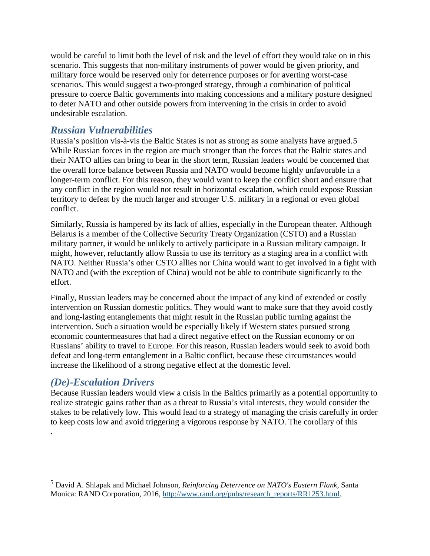would be careful to limit both the level of risk and the level of effort they would take on in this scenario. This suggests that non-military instruments of power would be given priority, and military force would be reserved only for deterrence purposes or for averting worst-case scenarios. This would suggest a two-pronged strategy, through a combination of political pressure to coerce Baltic governments into making concessions and a military posture designed to deter NATO and other outside powers from intervening in the crisis in order to avoid undesirable escalation.

#### *Russian Vulnerabilities*

Russia's position vis-à-vis the Baltic States is not as strong as some analysts have argued.[5](#page-5-0) While Russian forces in the region are much stronger than the forces that the Baltic states and their NATO allies can bring to bear in the short term, Russian leaders would be concerned that the overall force balance between Russia and NATO would become highly unfavorable in a longer-term conflict. For this reason, they would want to keep the conflict short and ensure that any conflict in the region would not result in horizontal escalation, which could expose Russian territory to defeat by the much larger and stronger U.S. military in a regional or even global conflict.

Similarly, Russia is hampered by its lack of allies, especially in the European theater. Although Belarus is a member of the Collective Security Treaty Organization (CSTO) and a Russian military partner, it would be unlikely to actively participate in a Russian military campaign. It might, however, reluctantly allow Russia to use its territory as a staging area in a conflict with NATO. Neither Russia's other CSTO allies nor China would want to get involved in a fight with NATO and (with the exception of China) would not be able to contribute significantly to the effort.

Finally, Russian leaders may be concerned about the impact of any kind of extended or costly intervention on Russian domestic politics. They would want to make sure that they avoid costly and long-lasting entanglements that might result in the Russian public turning against the intervention. Such a situation would be especially likely if Western states pursued strong economic countermeasures that had a direct negative effect on the Russian economy or on Russians' ability to travel to Europe. For this reason, Russian leaders would seek to avoid both defeat and long-term entanglement in a Baltic conflict, because these circumstances would increase the likelihood of a strong negative effect at the domestic level.

## *(De)-Escalation Drivers*

.

 $\overline{\phantom{a}}$ 

Because Russian leaders would view a crisis in the Baltics primarily as a potential opportunity to realize strategic gains rather than as a threat to Russia's vital interests, they would consider the stakes to be relatively low. This would lead to a strategy of managing the crisis carefully in order to keep costs low and avoid triggering a vigorous response by NATO. The corollary of this

<span id="page-5-0"></span><sup>5</sup> David A. Shlapak and Michael Johnson, *Reinforcing Deterrence on NATO's Eastern Flank,* Santa Monica: RAND Corporation, 2016, [http://www.rand.org/pubs/research\\_reports/RR1253.html.](http://www.rand.org/pubs/research_reports/RR1253.html)